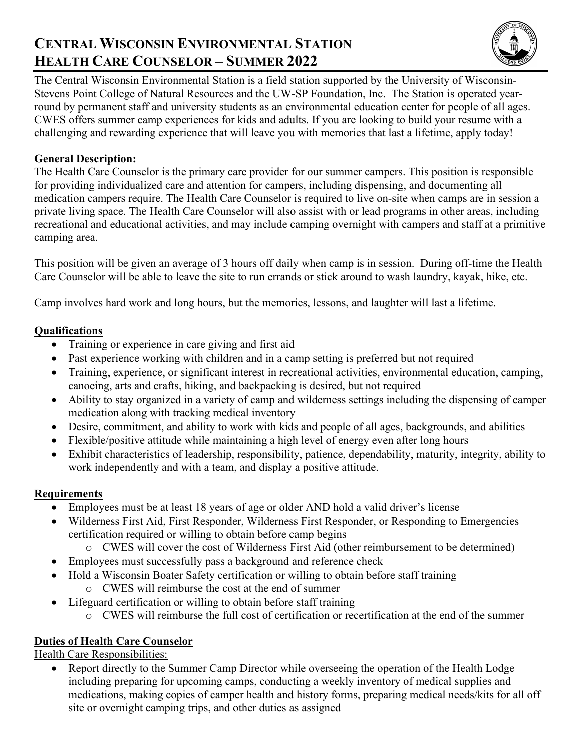# **CENTRAL WISCONSIN ENVIRONMENTAL STATION HEALTH CARE COUNSELOR – SUMMER 2022**



The Central Wisconsin Environmental Station is a field station supported by the University of Wisconsin-Stevens Point College of Natural Resources and the UW-SP Foundation, Inc. The Station is operated yearround by permanent staff and university students as an environmental education center for people of all ages. CWES offers summer camp experiences for kids and adults. If you are looking to build your resume with a challenging and rewarding experience that will leave you with memories that last a lifetime, apply today!

## **General Description:**

The Health Care Counselor is the primary care provider for our summer campers. This position is responsible for providing individualized care and attention for campers, including dispensing, and documenting all medication campers require. The Health Care Counselor is required to live on-site when camps are in session a private living space. The Health Care Counselor will also assist with or lead programs in other areas, including recreational and educational activities, and may include camping overnight with campers and staff at a primitive camping area.

This position will be given an average of 3 hours off daily when camp is in session. During off-time the Health Care Counselor will be able to leave the site to run errands or stick around to wash laundry, kayak, hike, etc.

Camp involves hard work and long hours, but the memories, lessons, and laughter will last a lifetime.

### **Qualifications**

- Training or experience in care giving and first aid
- Past experience working with children and in a camp setting is preferred but not required
- Training, experience, or significant interest in recreational activities, environmental education, camping, canoeing, arts and crafts, hiking, and backpacking is desired, but not required
- Ability to stay organized in a variety of camp and wilderness settings including the dispensing of camper medication along with tracking medical inventory
- Desire, commitment, and ability to work with kids and people of all ages, backgrounds, and abilities
- Flexible/positive attitude while maintaining a high level of energy even after long hours
- Exhibit characteristics of leadership, responsibility, patience, dependability, maturity, integrity, ability to work independently and with a team, and display a positive attitude.

### **Requirements**

- Employees must be at least 18 years of age or older AND hold a valid driver's license
- Wilderness First Aid, First Responder, Wilderness First Responder, or Responding to Emergencies certification required or willing to obtain before camp begins
	- o CWES will cover the cost of Wilderness First Aid (other reimbursement to be determined)
- Employees must successfully pass a background and reference check
	- Hold a Wisconsin Boater Safety certification or willing to obtain before staff training
		- o CWES will reimburse the cost at the end of summer
- Lifeguard certification or willing to obtain before staff training
	- o CWES will reimburse the full cost of certification or recertification at the end of the summer

# **Duties of Health Care Counselor**

Health Care Responsibilities:

• Report directly to the Summer Camp Director while overseeing the operation of the Health Lodge including preparing for upcoming camps, conducting a weekly inventory of medical supplies and medications, making copies of camper health and history forms, preparing medical needs/kits for all off site or overnight camping trips, and other duties as assigned